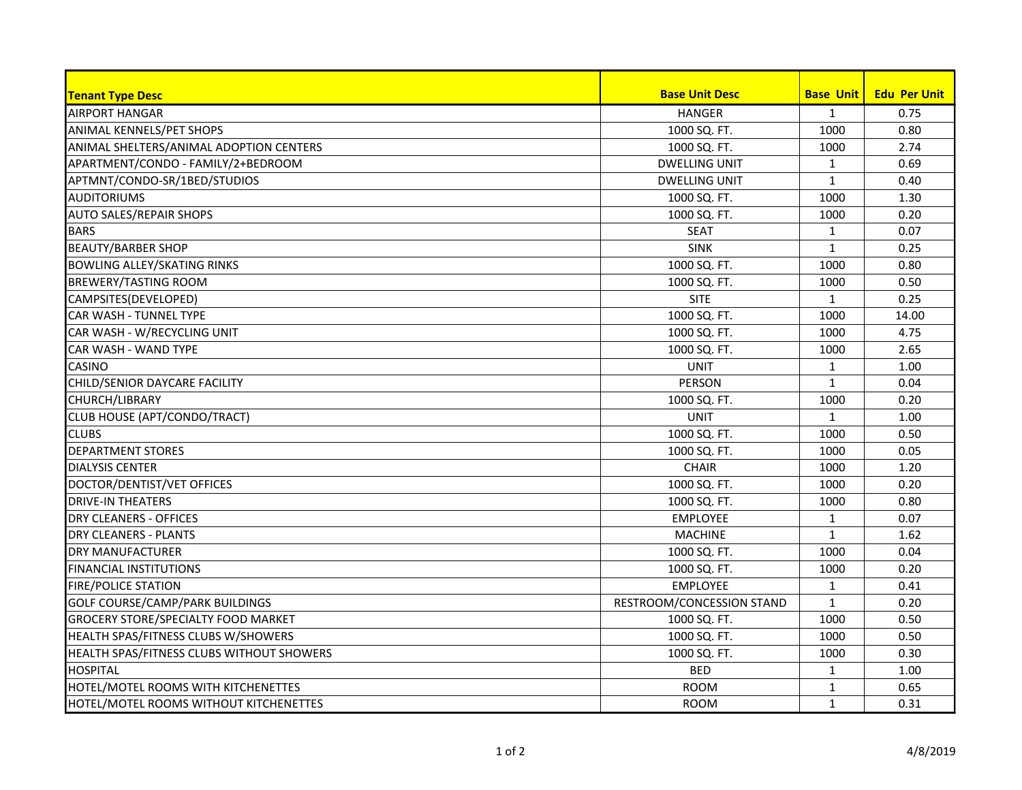| <b>Tenant Type Desc</b>                          | <b>Base Unit Desc</b>     | <b>Base Unit</b> | <b>Edu Per Unit</b> |
|--------------------------------------------------|---------------------------|------------------|---------------------|
| <b>AIRPORT HANGAR</b>                            | <b>HANGER</b>             | $\mathbf{1}$     | 0.75                |
| ANIMAL KENNELS/PET SHOPS                         | 1000 SQ. FT.              | 1000             | 0.80                |
| ANIMAL SHELTERS/ANIMAL ADOPTION CENTERS          | 1000 SQ. FT.              | 1000             | 2.74                |
| APARTMENT/CONDO - FAMILY/2+BEDROOM               | <b>DWELLING UNIT</b>      | $\mathbf{1}$     | 0.69                |
| APTMNT/CONDO-SR/1BED/STUDIOS                     | <b>DWELLING UNIT</b>      | $\mathbf{1}$     | 0.40                |
| <b>AUDITORIUMS</b>                               | 1000 SQ. FT.              | 1000             | 1.30                |
| <b>AUTO SALES/REPAIR SHOPS</b>                   | 1000 SQ. FT.              | 1000             | 0.20                |
| <b>BARS</b>                                      | <b>SEAT</b>               | $\mathbf{1}$     | 0.07                |
| <b>BEAUTY/BARBER SHOP</b>                        | <b>SINK</b>               | $\mathbf{1}$     | 0.25                |
| <b>BOWLING ALLEY/SKATING RINKS</b>               | 1000 SQ. FT.              | 1000             | 0.80                |
| <b>BREWERY/TASTING ROOM</b>                      | 1000 SQ. FT.              | 1000             | 0.50                |
| CAMPSITES(DEVELOPED)                             | <b>SITE</b>               | $\mathbf{1}$     | 0.25                |
| <b>CAR WASH - TUNNEL TYPE</b>                    | 1000 SQ. FT.              | 1000             | 14.00               |
| CAR WASH - W/RECYCLING UNIT                      | 1000 SQ. FT.              | 1000             | 4.75                |
| <b>CAR WASH - WAND TYPE</b>                      | 1000 SQ. FT.              | 1000             | 2.65                |
| <b>CASINO</b>                                    | <b>UNIT</b>               | $\mathbf{1}$     | 1.00                |
| CHILD/SENIOR DAYCARE FACILITY                    | <b>PERSON</b>             | $\mathbf{1}$     | 0.04                |
| CHURCH/LIBRARY                                   | 1000 SQ. FT.              | 1000             | 0.20                |
| CLUB HOUSE (APT/CONDO/TRACT)                     | <b>UNIT</b>               | $\mathbf{1}$     | 1.00                |
| <b>CLUBS</b>                                     | 1000 SQ. FT.              | 1000             | 0.50                |
| <b>DEPARTMENT STORES</b>                         | 1000 SQ. FT.              | 1000             | 0.05                |
| <b>DIALYSIS CENTER</b>                           | <b>CHAIR</b>              | 1000             | 1.20                |
| DOCTOR/DENTIST/VET OFFICES                       | 1000 SQ. FT.              | 1000             | 0.20                |
| <b>DRIVE-IN THEATERS</b>                         | 1000 SQ. FT.              | 1000             | 0.80                |
| <b>DRY CLEANERS - OFFICES</b>                    | <b>EMPLOYEE</b>           | $\mathbf{1}$     | 0.07                |
| <b>DRY CLEANERS - PLANTS</b>                     | <b>MACHINE</b>            | $\mathbf{1}$     | 1.62                |
| <b>DRY MANUFACTURER</b>                          | 1000 SQ. FT.              | 1000             | 0.04                |
| <b>FINANCIAL INSTITUTIONS</b>                    | 1000 SQ. FT.              | 1000             | 0.20                |
| <b>FIRE/POLICE STATION</b>                       | <b>EMPLOYEE</b>           | $\mathbf{1}$     | 0.41                |
| GOLF COURSE/CAMP/PARK BUILDINGS                  | RESTROOM/CONCESSION STAND | $\mathbf{1}$     | 0.20                |
| <b>GROCERY STORE/SPECIALTY FOOD MARKET</b>       | 1000 SQ. FT.              | 1000             | 0.50                |
| HEALTH SPAS/FITNESS CLUBS W/SHOWERS              | 1000 SQ. FT.              | 1000             | 0.50                |
| <b>HEALTH SPAS/FITNESS CLUBS WITHOUT SHOWERS</b> | 1000 SQ. FT.              | 1000             | 0.30                |
| <b>HOSPITAL</b>                                  | <b>BED</b>                | $\mathbf{1}$     | 1.00                |
| <b>HOTEL/MOTEL ROOMS WITH KITCHENETTES</b>       | <b>ROOM</b>               | $\mathbf{1}$     | 0.65                |
| HOTEL/MOTEL ROOMS WITHOUT KITCHENETTES           | <b>ROOM</b>               | $\mathbf{1}$     | 0.31                |